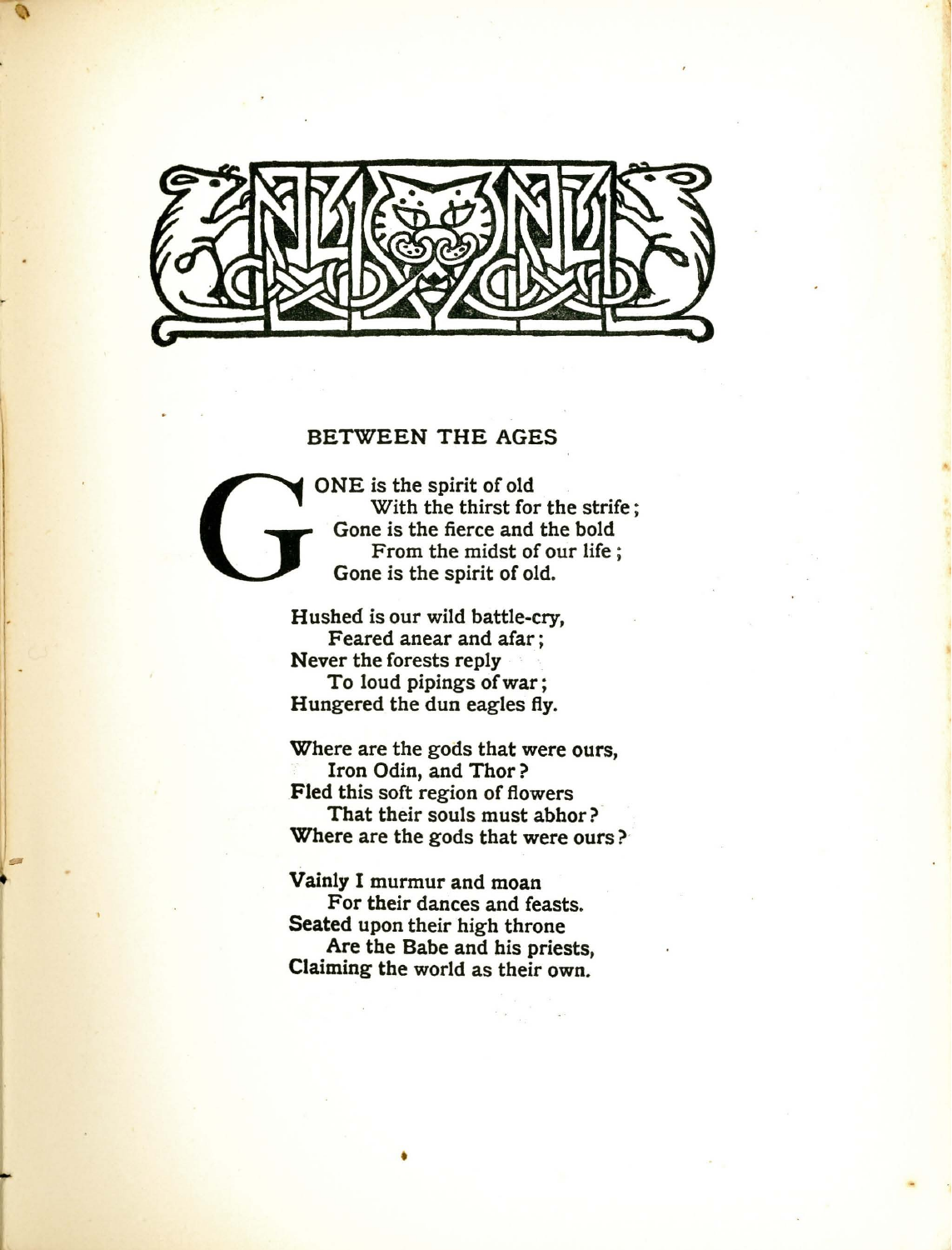

 $\sim$   $\lambda$ 

## BETWEEN THE AGES

ONE is the spirit of old<br>With the thirst for<br>Gone is the fierce and<br>From the midst of<br>Gone is the spirit of ol With the thirst for the strife; Gone is the fierce and the bold From the midst of our life ; Gone is the spirit of old.

Hushed is our wild battle-cry, Feared anear and afar; Never the forests reply To loud pipings of war ; Hungered the dun eagles fly.

Where are the gods that were ours, Iron Odin, and Thor? Fled this soft region of flowers That their souls must abhor? ' Where are the gods that were ours ?'

Vainly I murmur and moan For their dances and feasts. Seated upon their high throne Are the Babe and his priests, Claiming the world as their own.

•

-